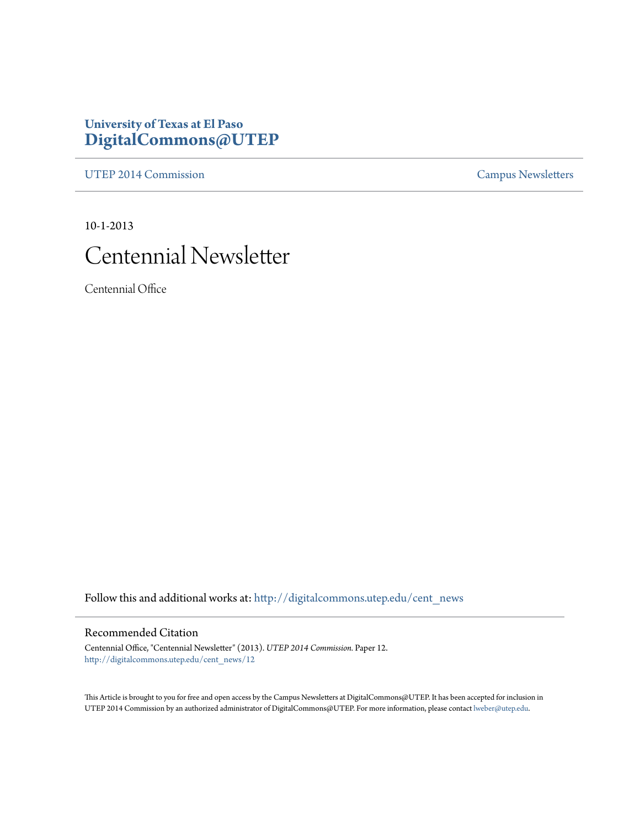#### **University of Texas at El Paso [DigitalCommons@UTEP](http://digitalcommons.utep.edu?utm_source=digitalcommons.utep.edu%2Fcent_news%2F12&utm_medium=PDF&utm_campaign=PDFCoverPages)**

[UTEP 2014 Commission](http://digitalcommons.utep.edu/cent_news?utm_source=digitalcommons.utep.edu%2Fcent_news%2F12&utm_medium=PDF&utm_campaign=PDFCoverPages) [Campus Newsletters](http://digitalcommons.utep.edu/newsletters?utm_source=digitalcommons.utep.edu%2Fcent_news%2F12&utm_medium=PDF&utm_campaign=PDFCoverPages)

10-1-2013

# Centennial Newsletter

Centennial Office

Follow this and additional works at: [http://digitalcommons.utep.edu/cent\\_news](http://digitalcommons.utep.edu/cent_news?utm_source=digitalcommons.utep.edu%2Fcent_news%2F12&utm_medium=PDF&utm_campaign=PDFCoverPages)

#### Recommended Citation

Centennial Office, "Centennial Newsletter" (2013). *UTEP 2014 Commission.* Paper 12. [http://digitalcommons.utep.edu/cent\\_news/12](http://digitalcommons.utep.edu/cent_news/12?utm_source=digitalcommons.utep.edu%2Fcent_news%2F12&utm_medium=PDF&utm_campaign=PDFCoverPages)

This Article is brought to you for free and open access by the Campus Newsletters at DigitalCommons@UTEP. It has been accepted for inclusion in UTEP 2014 Commission by an authorized administrator of DigitalCommons@UTEP. For more information, please contact [lweber@utep.edu.](mailto:lweber@utep.edu)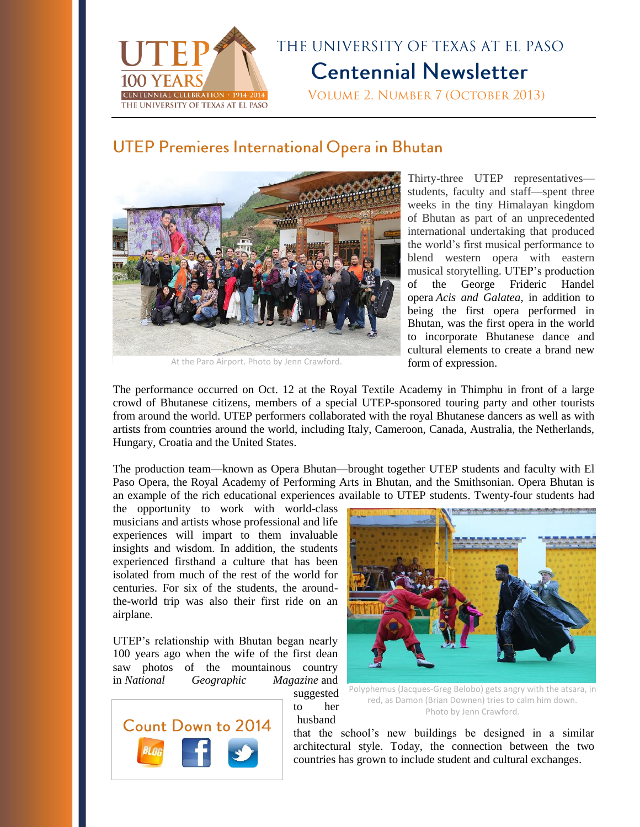

## THE UNIVERSITY OF TEXAS AT EL PASO **Centennial Newsletter**

VOLUME 2. NUMBER 7 (OCTOBER 2013)

### **UTEP Premieres International Opera in Bhutan**



At the Paro Airport. Photo by Jenn Crawford.

Thirty-three UTEP representatives students, faculty and staff—spent three weeks in the tiny Himalayan kingdom of Bhutan as part of an unprecedented international undertaking that produced the world's first musical performance to blend western opera with eastern musical storytelling. UTEP's production of the George Frideric Handel opera *Acis and Galatea*, in addition to being the first opera performed in Bhutan, was the first opera in the world to incorporate Bhutanese dance and cultural elements to create a brand new form of expression.

The performance occurred on Oct. 12 at the Royal Textile Academy in Thimphu in front of a large crowd of Bhutanese citizens, members of a special UTEP-sponsored touring party and other tourists from around the world. UTEP performers collaborated with the royal Bhutanese dancers as well as with artists from countries around the world, including Italy, Cameroon, Canada, Australia, the Netherlands, Hungary, Croatia and the United States.

The production team—known as Opera Bhutan—brought together UTEP students and faculty with El Paso Opera, the Royal Academy of Performing Arts in Bhutan, and the Smithsonian. Opera Bhutan is an example of the rich educational experiences available to UTEP students. Twenty-four students had

husband

the opportunity to work with world-class musicians and artists whose professional and life experiences will impart to them invaluable insights and wisdom. In addition, the students experienced firsthand a culture that has been isolated from much of the rest of the world for centuries. For six of the students, the aroundthe-world trip was also their first ride on an airplane.

UTEP's relationship with Bhutan began nearly 100 years ago when the wife of the first dean saw photos of the mountainous country in *National Geographic Magazine* and suggested





Polyphemus (Jacques-Greg Belobo) gets angry with the atsara, in red, as Damon (Brian Downen) tries to calm him down. Photo by Jenn Crawford.

that the school's new buildings be designed in a similar architectural style. Today, the connection between the two countries has grown to include student and cultural exchanges.